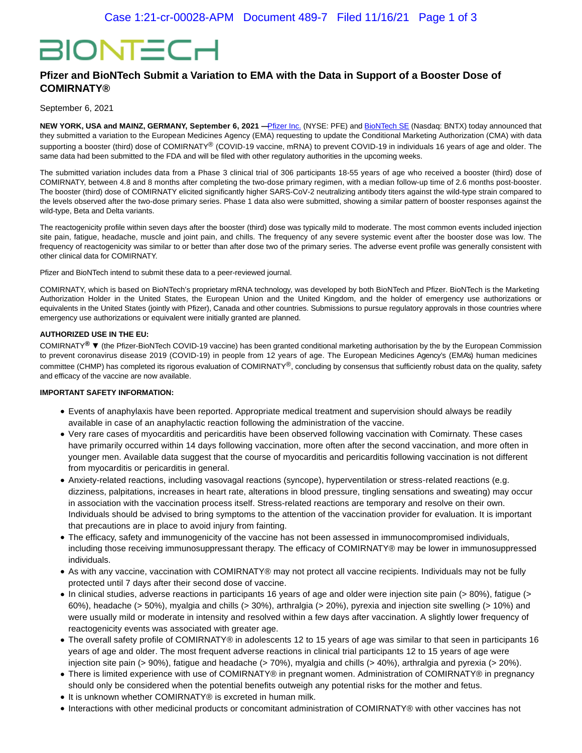# **BIONTECH**

# **Pfizer and BioNTech Submit a Variation to EMA with the Data in Support of a Booster Dose of COMIRNATY®**

## September 6, 2021

**NEW YORK, USA and MAINZ, GERMANY, September 6, 2021** - *Pfizer Inc.* **(NYSE: PFE) and [BioNTech SE \(](https://www.globenewswire.com/Tracker?data=2PGQMa1gTF_m9j6lEpdHr29ODHEo9u-vsSNKvCMECMBZ_WA-8OnmwLHs9fbK_sieH8I99ZLoqYxnWgPQ2IVjiQ==)Nasdaq: BNTX) today announced that** they submitted a variation to the European Medicines Agency (EMA) requesting to update the Conditional Marketing Authorization (CMA) with data supporting a booster (third) dose of COMIRNATY® (COVID-19 vaccine, mRNA) to prevent COVID-19 in individuals 16 years of age and older. The same data had been submitted to the FDA and will be filed with other regulatory authorities in the upcoming weeks.

The submitted variation includes data from a Phase 3 clinical trial of 306 participants 18-55 years of age who received a booster (third) dose of COMIRNATY, between 4.8 and 8 months after completing the two-dose primary regimen, with a median follow-up time of 2.6 months post-booster. The booster (third) dose of COMIRNATY elicited significantly higher SARS-CoV-2 neutralizing antibody titers against the wild-type strain compared to the levels observed after the two-dose primary series. Phase 1 data also were submitted, showing a similar pattern of booster responses against the wild-type, Beta and Delta variants.

The reactogenicity profile within seven days after the booster (third) dose was typically mild to moderate. The most common events included injection site pain, fatigue, headache, muscle and joint pain, and chills. The frequency of any severe systemic event after the booster dose was low. The frequency of reactogenicity was similar to or better than after dose two of the primary series. The adverse event profile was generally consistent with other clinical data for COMIRNATY.

Pfizer and BioNTech intend to submit these data to a peer-reviewed journal.

COMIRNATY, which is based on BioNTech's proprietary mRNA technology, was developed by both BioNTech and Pfizer. BioNTech is the Marketing Authorization Holder in the United States, the European Union and the United Kingdom, and the holder of emergency use authorizations or equivalents in the United States (jointly with Pfizer), Canada and other countries. Submissions to pursue regulatory approvals in those countries where emergency use authorizations or equivalent were initially granted are planned.

### **AUTHORIZED USE IN THE EU:**

COMIRNATY**® ▼** (the Pfizer-BioNTech COVID-19 vaccine) has been granted conditional marketing authorisation by the by the European Commission to prevent coronavirus disease 2019 (COVID-19) in people from 12 years of age. The European Medicines Agency's (EMA's) human medicines committee (CHMP) has completed its rigorous evaluation of COMIRNATY®, concluding by consensus that sufficiently robust data on the quality, safety and efficacy of the vaccine are now available.

#### **IMPORTANT SAFETY INFORMATION:**

- Events of anaphylaxis have been reported. Appropriate medical treatment and supervision should always be readily available in case of an anaphylactic reaction following the administration of the vaccine.
- Very rare cases of myocarditis and pericarditis have been observed following vaccination with Comirnaty. These cases have primarily occurred within 14 days following vaccination, more often after the second vaccination, and more often in younger men. Available data suggest that the course of myocarditis and pericarditis following vaccination is not different from myocarditis or pericarditis in general.
- Anxiety-related reactions, including vasovagal reactions (syncope), hyperventilation or stress-related reactions (e.g. dizziness, palpitations, increases in heart rate, alterations in blood pressure, tingling sensations and sweating) may occur in association with the vaccination process itself. Stress-related reactions are temporary and resolve on their own. Individuals should be advised to bring symptoms to the attention of the vaccination provider for evaluation. It is important that precautions are in place to avoid injury from fainting.
- The efficacy, safety and immunogenicity of the vaccine has not been assessed in immunocompromised individuals, including those receiving immunosuppressant therapy. The efficacy of COMIRNATY® may be lower in immunosuppressed individuals.
- As with any vaccine, vaccination with COMIRNATY® may not protect all vaccine recipients. Individuals may not be fully protected until 7 days after their second dose of vaccine.
- In clinical studies, adverse reactions in participants 16 years of age and older were injection site pain (> 80%), fatigue (> 60%), headache (> 50%), myalgia and chills (> 30%), arthralgia (> 20%), pyrexia and injection site swelling (> 10%) and were usually mild or moderate in intensity and resolved within a few days after vaccination. A slightly lower frequency of reactogenicity events was associated with greater age.
- The overall safety profile of COMIRNATY® in adolescents 12 to 15 years of age was similar to that seen in participants 16 years of age and older. The most frequent adverse reactions in clinical trial participants 12 to 15 years of age were injection site pain (> 90%), fatigue and headache (> 70%), myalgia and chills (> 40%), arthralgia and pyrexia (> 20%).
- There is limited experience with use of COMIRNATY® in pregnant women. Administration of COMIRNATY® in pregnancy should only be considered when the potential benefits outweigh any potential risks for the mother and fetus.
- It is unknown whether COMIRNATY<sup>®</sup> is excreted in human milk.
- Interactions with other medicinal products or concomitant administration of COMIRNATY® with other vaccines has not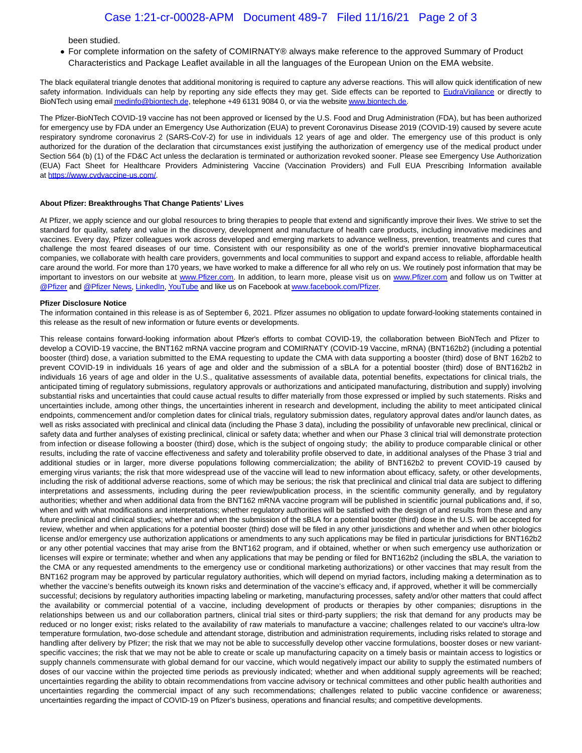been studied.

For complete information on the safety of COMIRNATY® always make reference to the approved Summary of Product Characteristics and Package Leaflet available in all the languages of the European Union on the EMA website.

The black equilateral triangle denotes that additional monitoring is required to capture any adverse reactions. This will allow quick identification of new safety information. Individuals can help by reporting any side effects they may get. Side effects can be reported to [EudraVigilance](https://www.globenewswire.com/Tracker?data=l12vVhrH5wD8mTvC6YQ1xQauRvPtZawj5tF8qZIoZJz7fgbRF8GGkedAbGlA-vDJqOUTmtCF7oeD6j9b3Wzusw==) or directly to BioNTech using emai[l medinfo@biontech.de,](https://www.globenewswire.com/Tracker?data=3U4kkQLciuRvdCHo_DvSsx1b1Oo5Aj1DYK-lt8V712TKrV1yScyJx0uQd-yRRqjZFXlWJBhethqKOVO_g-8mr1CuHQCWGKoDYDAO_uZSky8=) telephone +49 6131 9084 0, or via the websit[e www.biontech.de.](https://www.globenewswire.com/Tracker?data=-3kzt_hWJRXSGIXQiFdAmkbT1SyWhUv5EeHSoa8n9TN7Hego3ydfGgEZTivMvE8W9ftUkLBLzCNDBgVlhAPo9Q==)

The Pfizer-BioNTech COVID-19 vaccine has not been approved or licensed by the U.S. Food and Drug Administration (FDA), but has been authorized for emergency use by FDA under an Emergency Use Authorization (EUA) to prevent Coronavirus Disease 2019 (COVID-19) caused by severe acute respiratory syndrome coronavirus 2 (SARS-CoV-2) for use in individuals 12 years of age and older. The emergency use of this product is only authorized for the duration of the declaration that circumstances exist justifying the authorization of emergency use of the medical product under Section 564 (b) (1) of the FD&C Act unless the declaration is terminated or authorization revoked sooner. Please see Emergency Use Authorization (EUA) Fact Sheet for Healthcare Providers Administering Vaccine (Vaccination Providers) and Full EUA Prescribing Information available at [https://www.cvdvaccine-us.com/.](https://www.globenewswire.com/Tracker?data=IOCkF5OKAPGxXEnYAt83qNjUe8tXOwWtfZv57N0q7-qpkbm0Qux1NELDt7woeGIOhVeMUlHbBBU63FBhtgniX02VRhtgG9ivytObKnHYbX9F1-jQIsRjhBupIEsKqgGC)

#### **About Pfizer: Breakthroughs That Change Patients' Lives**

At Pfizer, we apply science and our global resources to bring therapies to people that extend and significantly improve their lives. We strive to set the standard for quality, safety and value in the discovery, development and manufacture of health care products, including innovative medicines and vaccines. Every day, Pfizer colleagues work across developed and emerging markets to advance wellness, prevention, treatments and cures that challenge the most feared diseases of our time. Consistent with our responsibility as one of the world's premier innovative biopharmaceutical companies, we collaborate with health care providers, governments and local communities to support and expand access to reliable, affordable health care around the world. For more than 170 years, we have worked to make a difference for all who rely on us. We routinely post information that may be important to investors on our website at [www.Pfizer.com.](https://www.globenewswire.com/Tracker?data=-3kzt_hWJRXSGIXQiFdAmg31rymIJiFSLQIP8BMQZWZNM7_rrZdwk_qu8X4LyvbIWf-tjzdlQ8mZ0kQCyHredQ==) In addition, to learn more, please visit us on [www.Pfizer.com a](https://www.globenewswire.com/Tracker?data=-3kzt_hWJRXSGIXQiFdAmuEwUlcvkV3eztysHMB2GK3-HK2MbESjSd4LK3lxOR9tw6XLetgSgIzAXH65A0kJMQ==)nd follow us on Twitter at [@Pfizer a](https://www.globenewswire.com/Tracker?data=up2SA5-XU3T97oZ7nVp1NyQELDKEyVKs3KgAEB04914PzWYJ9UgefburckI9f0sIEkFWhUNv9vLqk9gczMd1iA==)nd [@Pfizer News,](https://www.globenewswire.com/Tracker?data=up2SA5-XU3T97oZ7nVp1N8fewQ91alv2U13qFofQD-88vchSgUEgRvlRpW0VK3zIX_8GFJZZSgSOa2Cyb4w2i0CDWGJZHZzmdZInw6nSUSc=) [LinkedIn,](https://www.globenewswire.com/Tracker?data=VSuOz6a3jX2leJd0KKadqEqDP7cMaQwrNohgrvswls27IvKa450im0jWA3mNoM6aoRqOpvOhPvkalMWqPcS0U26ElcMaQQ6OpGjC0uMGysE=) [YouTube a](https://www.globenewswire.com/Tracker?data=ONfgJM9ZghRX6ON_B4REGCQ26Bhti6qT7JodyUtT5rQNDbt7Af7v0zfl47zxExY6SlarnzoAVsYfINzw-aaOOg==)nd like us on Facebook a[t www.facebook.com/Pfizer.](https://www.globenewswire.com/Tracker?data=-3kzt_hWJRXSGIXQiFdAmkFX88YiGWxc39-ajnPrdMjRkRQktPatVnN8B4PyKe3OTe4b3udGQWmk5ZX1znGsZJp2KgYbFitKt4njpGdXGPo=)

#### **Pfizer Disclosure Notice**

The information contained in this release is as of September 6, 2021. Pfizer assumes no obligation to update forward-looking statements contained in this release as the result of new information or future events or developments.

This release contains forward-looking information about Pfizer's efforts to combat COVID-19, the collaboration between BioNTech and Pfizer to develop a COVID-19 vaccine, the BNT162 mRNA vaccine program and COMIRNATY (COVID-19 Vaccine, mRNA) (BNT162b2) (including a potential booster (third) dose, a variation submitted to the EMA requesting to update the CMA with data supporting a booster (third) dose of BNT 162b2 to prevent COVID-19 in individuals 16 years of age and older and the submission of a sBLA for a potential booster (third) dose of BNT162b2 in individuals 16 years of age and older in the U.S., qualitative assessments of available data, potential benefits, expectations for clinical trials, the anticipated timing of regulatory submissions, regulatory approvals or authorizations and anticipated manufacturing, distribution and supply) involving substantial risks and uncertainties that could cause actual results to differ materially from those expressed or implied by such statements. Risks and uncertainties include, among other things, the uncertainties inherent in research and development, including the ability to meet anticipated clinical endpoints, commencement and/or completion dates for clinical trials, regulatory submission dates, regulatory approval dates and/or launch dates, as well as risks associated with preclinical and clinical data (including the Phase 3 data), including the possibility of unfavorable new preclinical, clinical or safety data and further analyses of existing preclinical, clinical or safety data; whether and when our Phase 3 clinical trial will demonstrate protection from infection or disease following a booster (third) dose, which is the subject of ongoing study; the ability to produce comparable clinical or other results, including the rate of vaccine effectiveness and safety and tolerability profile observed to date, in additional analyses of the Phase 3 trial and additional studies or in larger, more diverse populations following commercialization; the ability of BNT162b2 to prevent COVID-19 caused by emerging virus variants; the risk that more widespread use of the vaccine will lead to new information about efficacy, safety, or other developments, including the risk of additional adverse reactions, some of which may be serious; the risk that preclinical and clinical trial data are subject to differing interpretations and assessments, including during the peer review/publication process, in the scientific community generally, and by regulatory authorities; whether and when additional data from the BNT162 mRNA vaccine program will be published in scientific journal publications and, if so, when and with what modifications and interpretations; whether regulatory authorities will be satisfied with the design of and results from these and any future preclinical and clinical studies; whether and when the submission of the sBLA for a potential booster (third) dose in the U.S. will be accepted for review, whether and when applications for a potential booster (third) dose will be filed in any other jurisdictions and whether and when other biologics license and/or emergency use authorization applications or amendments to any such applications may be filed in particular jurisdictions for BNT162b2 or any other potential vaccines that may arise from the BNT162 program, and if obtained, whether or when such emergency use authorization or licenses will expire or terminate; whether and when any applications that may be pending or filed for BNT162b2 (including the sBLA, the variation to the CMA or any requested amendments to the emergency use or conditional marketing authorizations) or other vaccines that may result from the BNT162 program may be approved by particular regulatory authorities, which will depend on myriad factors, including making a determination as to whether the vaccine's benefits outweigh its known risks and determination of the vaccine's efficacy and, if approved, whether it will be commercially successful; decisions by regulatory authorities impacting labeling or marketing, manufacturing processes, safety and/or other matters that could affect the availability or commercial potential of a vaccine, including development of products or therapies by other companies; disruptions in the relationships between us and our collaboration partners, clinical trial sites or third-party suppliers; the risk that demand for any products may be reduced or no longer exist; risks related to the availability of raw materials to manufacture a vaccine; challenges related to our vaccine's ultra-low temperature formulation, two-dose schedule and attendant storage, distribution and administration requirements, including risks related to storage and handling after delivery by Pfizer; the risk that we may not be able to successfully develop other vaccine formulations, booster doses or new variantspecific vaccines; the risk that we may not be able to create or scale up manufacturing capacity on a timely basis or maintain access to logistics or supply channels commensurate with global demand for our vaccine, which would negatively impact our ability to supply the estimated numbers of doses of our vaccine within the projected time periods as previously indicated; whether and when additional supply agreements will be reached; uncertainties regarding the ability to obtain recommendations from vaccine advisory or technical committees and other public health authorities and uncertainties regarding the commercial impact of any such recommendations; challenges related to public vaccine confidence or awareness; uncertainties regarding the impact of COVID-19 on Pfizer's business, operations and financial results; and competitive developments.